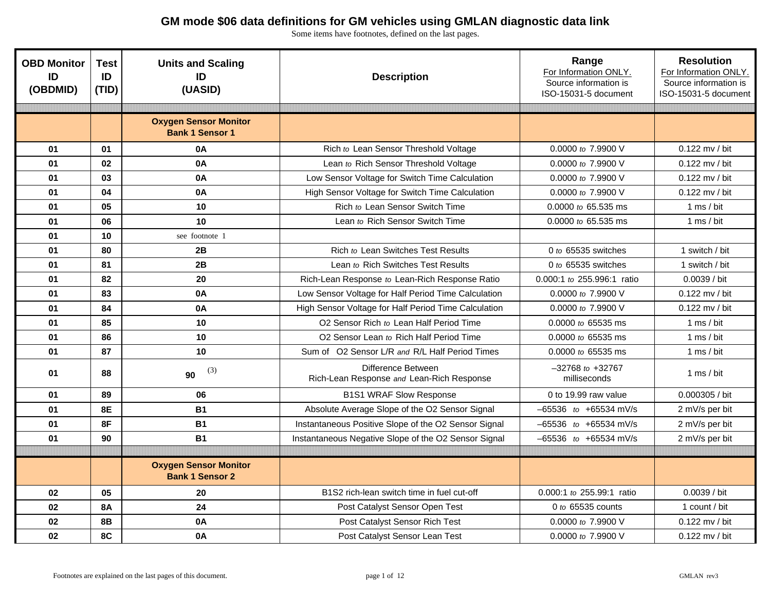| <b>OBD Monitor</b><br>ID<br>(OBDMID) | <b>Test</b><br>ID<br>(TID) | <b>Units and Scaling</b><br>ID<br>(UASID)              | <b>Description</b>                                              | Range<br>For Information ONLY.<br>Source information is<br>ISO-15031-5 document | <b>Resolution</b><br>For Information ONLY.<br>Source information is<br>ISO-15031-5 document |
|--------------------------------------|----------------------------|--------------------------------------------------------|-----------------------------------------------------------------|---------------------------------------------------------------------------------|---------------------------------------------------------------------------------------------|
|                                      |                            |                                                        |                                                                 |                                                                                 |                                                                                             |
|                                      |                            | <b>Oxygen Sensor Monitor</b><br><b>Bank 1 Sensor 1</b> |                                                                 |                                                                                 |                                                                                             |
| 01                                   | 01                         | 0A                                                     | Rich to Lean Sensor Threshold Voltage                           | 0.0000 to 7.9900 V                                                              | $0.122$ mv / bit                                                                            |
| 01                                   | 02                         | 0A                                                     | Lean to Rich Sensor Threshold Voltage                           | 0.0000 to 7.9900 V                                                              | 0.122 mv / bit                                                                              |
| 01                                   | 03                         | 0A                                                     | Low Sensor Voltage for Switch Time Calculation                  | 0.0000 to 7.9900 V                                                              | $0.122$ mv / bit                                                                            |
| 01                                   | 04                         | 0A                                                     | High Sensor Voltage for Switch Time Calculation                 | 0.0000 to 7.9900 V                                                              | 0.122 mv / bit                                                                              |
| 01                                   | 05                         | 10                                                     | Rich to Lean Sensor Switch Time                                 | 0.0000 to 65.535 ms                                                             | 1 ms $/$ bit                                                                                |
| 01                                   | 06                         | 10                                                     | Lean to Rich Sensor Switch Time                                 | 0.0000 to 65.535 ms                                                             | 1 ms / bit                                                                                  |
| 01                                   | 10                         | see footnote 1                                         |                                                                 |                                                                                 |                                                                                             |
| 01                                   | 80                         | 2B                                                     | Rich to Lean Switches Test Results                              | 0 to $65535$ switches                                                           | 1 switch / bit                                                                              |
| 01                                   | 81                         | 2B                                                     | Lean to Rich Switches Test Results                              | 0 to $65535$ switches                                                           | 1 switch / bit                                                                              |
| 01                                   | 82                         | 20                                                     | Rich-Lean Response to Lean-Rich Response Ratio                  | 0.000:1 to 255.996:1 ratio                                                      | 0.0039 / bit                                                                                |
| 01                                   | 83                         | 0A                                                     | Low Sensor Voltage for Half Period Time Calculation             | 0.0000 to 7.9900 V                                                              | 0.122 mv / bit                                                                              |
| 01                                   | 84                         | 0A                                                     | High Sensor Voltage for Half Period Time Calculation            | 0.0000 to 7.9900 V                                                              | 0.122 mv / bit                                                                              |
| 01                                   | 85                         | 10                                                     | O2 Sensor Rich to Lean Half Period Time                         | 0.0000 to 65535 ms                                                              | 1 ms $/$ bit                                                                                |
| 01                                   | 86                         | 10                                                     | O2 Sensor Lean to Rich Half Period Time                         | 0.0000 to 65535 ms                                                              | 1 ms $/$ bit                                                                                |
| 01                                   | 87                         | 10                                                     | Sum of O2 Sensor L/R and R/L Half Period Times                  | $0.0000$ to 65535 ms                                                            | 1 ms $/$ bit                                                                                |
| 01                                   | 88                         | (3)<br>90                                              | Difference Between<br>Rich-Lean Response and Lean-Rich Response | $-32768$ to $+32767$<br>milliseconds                                            | 1 ms $/$ bit                                                                                |
| 01                                   | 89                         | 06                                                     | <b>B1S1 WRAF Slow Response</b>                                  | 0 to 19.99 raw value                                                            | 0.000305 / bit                                                                              |
| 01                                   | <b>8E</b>                  | <b>B1</b>                                              | Absolute Average Slope of the O2 Sensor Signal                  | $-65536$ to $+65534$ mV/s                                                       | 2 mV/s per bit                                                                              |
| 01                                   | 8F                         | <b>B1</b>                                              | Instantaneous Positive Slope of the O2 Sensor Signal            | $-65536$ to $+65534$ mV/s                                                       | 2 mV/s per bit                                                                              |
| 01                                   | 90                         | <b>B1</b>                                              | Instantaneous Negative Slope of the O2 Sensor Signal            | -65536 to +65534 mV/s                                                           | 2 mV/s per bit                                                                              |
|                                      |                            |                                                        |                                                                 |                                                                                 |                                                                                             |
|                                      |                            | <b>Oxygen Sensor Monitor</b><br><b>Bank 1 Sensor 2</b> |                                                                 |                                                                                 |                                                                                             |
| 02                                   | 05                         | 20                                                     | B1S2 rich-lean switch time in fuel cut-off                      | 0.000:1 to 255.99:1 ratio                                                       | 0.0039 / bit                                                                                |
| 02                                   | <b>8A</b>                  | 24                                                     | Post Catalyst Sensor Open Test                                  | 0 to 65535 counts                                                               | 1 count / bit                                                                               |
| 02                                   | <b>8B</b>                  | 0A                                                     | Post Catalyst Sensor Rich Test                                  | 0.0000 to 7.9900 V                                                              | $0.122$ mv / bit                                                                            |
| 02                                   | 8C                         | 0A                                                     | Post Catalyst Sensor Lean Test                                  | 0.0000 to 7.9900 V                                                              | 0.122 mv / bit                                                                              |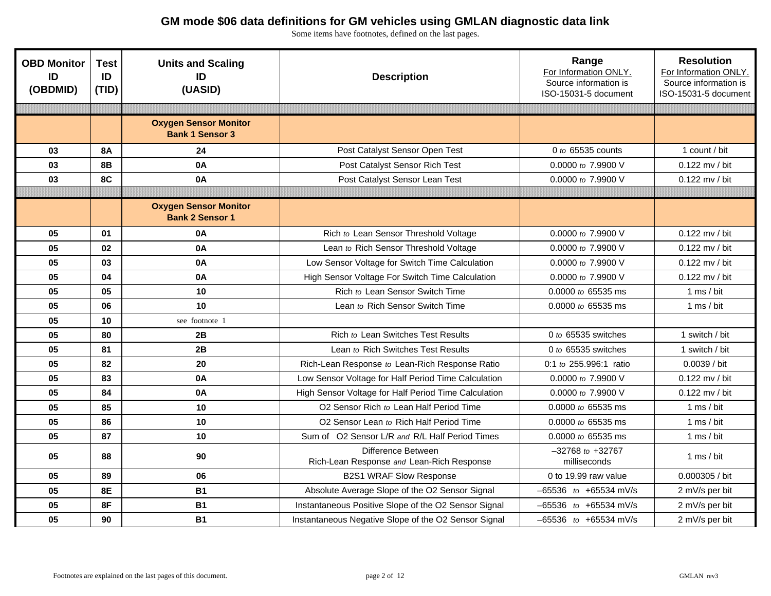| <b>OBD Monitor</b><br>ID<br>(OBDMID) | <b>Test</b><br>ID<br>(TID) | <b>Units and Scaling</b><br>ID<br>(UASID)              | <b>Description</b>                                              | Range<br>For Information ONLY.<br>Source information is<br>ISO-15031-5 document | <b>Resolution</b><br>For Information ONLY.<br>Source information is<br>ISO-15031-5 document |
|--------------------------------------|----------------------------|--------------------------------------------------------|-----------------------------------------------------------------|---------------------------------------------------------------------------------|---------------------------------------------------------------------------------------------|
|                                      |                            |                                                        |                                                                 |                                                                                 |                                                                                             |
|                                      |                            | <b>Oxygen Sensor Monitor</b><br><b>Bank 1 Sensor 3</b> |                                                                 |                                                                                 |                                                                                             |
| 03                                   | <b>8A</b>                  | 24                                                     | Post Catalyst Sensor Open Test                                  | 0 to 65535 counts                                                               | 1 count / bit                                                                               |
| 03                                   | <b>8B</b>                  | <b>0A</b>                                              | Post Catalyst Sensor Rich Test                                  | 0.0000 to 7.9900 V                                                              | $0.122$ mv / bit                                                                            |
| 03                                   | 8C                         | 0A                                                     | Post Catalyst Sensor Lean Test                                  | 0.0000 to 7.9900 V                                                              | $0.122$ mv / bit                                                                            |
|                                      |                            |                                                        |                                                                 |                                                                                 |                                                                                             |
|                                      |                            | <b>Oxygen Sensor Monitor</b><br><b>Bank 2 Sensor 1</b> |                                                                 |                                                                                 |                                                                                             |
| 05                                   | 01                         | 0A                                                     | Rich to Lean Sensor Threshold Voltage                           | 0.0000 to 7.9900 V                                                              | 0.122 mv / bit                                                                              |
| 05                                   | 02                         | 0A                                                     | Lean to Rich Sensor Threshold Voltage                           | 0.0000 to 7.9900 V                                                              | 0.122 mv / bit                                                                              |
| 05                                   | 03                         | 0A                                                     | Low Sensor Voltage for Switch Time Calculation                  | 0.0000 to 7.9900 V                                                              | 0.122 mv / bit                                                                              |
| 05                                   | 04                         | 0A                                                     | High Sensor Voltage For Switch Time Calculation                 | 0.0000 to 7.9900 V                                                              | 0.122 mv / bit                                                                              |
| 05                                   | 05                         | 10                                                     | Rich to Lean Sensor Switch Time                                 | 0.0000 to 65535 ms                                                              | 1 ms $/$ bit                                                                                |
| 05                                   | 06                         | 10                                                     | Lean to Rich Sensor Switch Time                                 | 0.0000 to 65535 ms                                                              | 1 ms $/$ bit                                                                                |
| 05                                   | 10                         | see footnote 1                                         |                                                                 |                                                                                 |                                                                                             |
| 05                                   | 80                         | 2B                                                     | Rich to Lean Switches Test Results                              | 0 to $65535$ switches                                                           | 1 switch / bit                                                                              |
| 05                                   | 81                         | 2B                                                     | Lean to Rich Switches Test Results                              | 0 to $65535$ switches                                                           | 1 switch / bit                                                                              |
| 05                                   | 82                         | 20                                                     | Rich-Lean Response to Lean-Rich Response Ratio                  | 0:1 to 255.996:1 ratio                                                          | 0.0039 / bit                                                                                |
| 05                                   | 83                         | 0A                                                     | Low Sensor Voltage for Half Period Time Calculation             | 0.0000 to 7.9900 V                                                              | 0.122 mv / bit                                                                              |
| 05                                   | 84                         | 0A                                                     | High Sensor Voltage for Half Period Time Calculation            | 0.0000 to 7.9900 V                                                              | 0.122 mv / bit                                                                              |
| 05                                   | 85                         | 10                                                     | O2 Sensor Rich to Lean Half Period Time                         | 0.0000 to 65535 ms                                                              | 1 ms $/$ bit                                                                                |
| 05                                   | 86                         | 10                                                     | O2 Sensor Lean to Rich Half Period Time                         | 0.0000 to 65535 ms                                                              | 1 ms $/$ bit                                                                                |
| 05                                   | 87                         | 10                                                     | Sum of O2 Sensor L/R and R/L Half Period Times                  | 0.0000 to 65535 ms                                                              | 1 ms $/$ bit                                                                                |
| 05                                   | 88                         | 90                                                     | Difference Between<br>Rich-Lean Response and Lean-Rich Response | $-32768$ to $+32767$<br>milliseconds                                            | 1 ms / bit                                                                                  |
| 05                                   | 89                         | 06                                                     | <b>B2S1 WRAF Slow Response</b>                                  | 0 to 19.99 raw value                                                            | 0.000305 / bit                                                                              |
| 05                                   | <b>8E</b>                  | <b>B1</b>                                              | Absolute Average Slope of the O2 Sensor Signal                  | -65536 to +65534 mV/s                                                           | 2 mV/s per bit                                                                              |
| 05                                   | 8F                         | <b>B1</b>                                              | Instantaneous Positive Slope of the O2 Sensor Signal            | $-65536$ to $+65534$ mV/s                                                       | 2 mV/s per bit                                                                              |
| 05                                   | 90                         | <b>B1</b>                                              | Instantaneous Negative Slope of the O2 Sensor Signal            | -65536 to +65534 mV/s                                                           | 2 mV/s per bit                                                                              |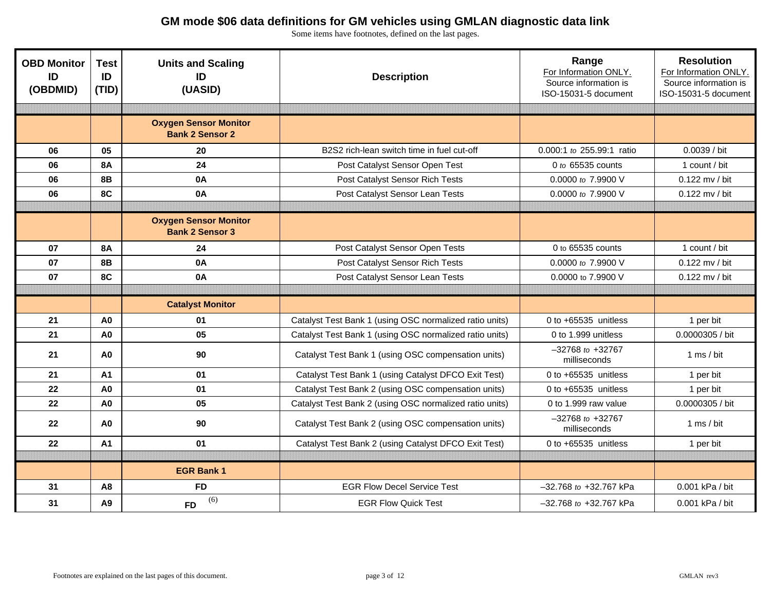| <b>OBD Monitor</b><br>ID<br>(OBDMID) | <b>Test</b><br>ID<br>(TID) | <b>Units and Scaling</b><br>ID<br>(UASID)              | <b>Description</b>                                      | Range<br>For Information ONLY.<br>Source information is<br>ISO-15031-5 document | <b>Resolution</b><br>For Information ONLY.<br>Source information is<br>ISO-15031-5 document |
|--------------------------------------|----------------------------|--------------------------------------------------------|---------------------------------------------------------|---------------------------------------------------------------------------------|---------------------------------------------------------------------------------------------|
|                                      |                            |                                                        |                                                         |                                                                                 |                                                                                             |
|                                      |                            | <b>Oxygen Sensor Monitor</b><br><b>Bank 2 Sensor 2</b> |                                                         |                                                                                 |                                                                                             |
| 06                                   | 05                         | 20                                                     | B2S2 rich-lean switch time in fuel cut-off              | 0.000:1 to 255.99:1 ratio                                                       | 0.0039 / bit                                                                                |
| 06                                   | <b>8A</b>                  | 24                                                     | Post Catalyst Sensor Open Test                          | 0 to 65535 counts                                                               | 1 count / bit                                                                               |
| 06                                   | <b>8B</b>                  | 0A                                                     | Post Catalyst Sensor Rich Tests                         | 0.0000 to $7.9900$ V                                                            | 0.122 mv / bit                                                                              |
| 06                                   | 8C                         | 0A                                                     | Post Catalyst Sensor Lean Tests                         | 0.0000 to 7.9900 V                                                              | 0.122 mv / bit                                                                              |
|                                      |                            |                                                        |                                                         |                                                                                 |                                                                                             |
|                                      |                            | <b>Oxygen Sensor Monitor</b><br><b>Bank 2 Sensor 3</b> |                                                         |                                                                                 |                                                                                             |
| 07                                   | <b>8A</b>                  | 24                                                     | Post Catalyst Sensor Open Tests                         | 0 to 65535 counts                                                               | 1 count / bit                                                                               |
| 07                                   | <b>8B</b>                  | 0A                                                     | Post Catalyst Sensor Rich Tests                         | 0.0000 to 7.9900 V                                                              | 0.122 mv / bit                                                                              |
| 07                                   | 8C                         | 0A                                                     | Post Catalyst Sensor Lean Tests                         | 0.0000 to 7.9900 V                                                              | 0.122 mv / bit                                                                              |
|                                      |                            |                                                        |                                                         |                                                                                 |                                                                                             |
|                                      |                            | <b>Catalyst Monitor</b>                                |                                                         |                                                                                 |                                                                                             |
| 21                                   | A <sub>0</sub>             | 01                                                     | Catalyst Test Bank 1 (using OSC normalized ratio units) | 0 to $+65535$ unitless                                                          | 1 per bit                                                                                   |
| 21                                   | A <sub>0</sub>             | 05                                                     | Catalyst Test Bank 1 (using OSC normalized ratio units) | 0 to 1.999 unitless                                                             | 0.0000305 / bit                                                                             |
| 21                                   | A <sub>0</sub>             | 90                                                     | Catalyst Test Bank 1 (using OSC compensation units)     | $-32768$ to $+32767$<br>milliseconds                                            | 1 ms $/$ bit                                                                                |
| 21                                   | A1                         | 01                                                     | Catalyst Test Bank 1 (using Catalyst DFCO Exit Test)    | 0 to $+65535$ unitless                                                          | 1 per bit                                                                                   |
| 22                                   | A <sub>0</sub>             | 01                                                     | Catalyst Test Bank 2 (using OSC compensation units)     | 0 to +65535 unitless                                                            | 1 per bit                                                                                   |
| 22                                   | A <sub>0</sub>             | 05                                                     | Catalyst Test Bank 2 (using OSC normalized ratio units) | 0 to 1.999 raw value                                                            | 0.0000305 / bit                                                                             |
| 22                                   | A <sub>0</sub>             | 90                                                     | Catalyst Test Bank 2 (using OSC compensation units)     | $-32768$ to $+32767$<br>milliseconds                                            | 1 ms / bit                                                                                  |
| 22                                   | A <sub>1</sub>             | 01                                                     | Catalyst Test Bank 2 (using Catalyst DFCO Exit Test)    | 0 to $+65535$ unitless                                                          | 1 per bit                                                                                   |
|                                      |                            |                                                        |                                                         |                                                                                 |                                                                                             |
|                                      |                            | <b>EGR Bank 1</b>                                      |                                                         |                                                                                 |                                                                                             |
| 31                                   | A <sub>8</sub>             | <b>FD</b>                                              | <b>EGR Flow Decel Service Test</b>                      | $-32.768$ to $+32.767$ kPa                                                      | 0.001 kPa / bit                                                                             |
| 31                                   | A <sub>9</sub>             | (6)<br><b>FD</b>                                       | <b>EGR Flow Quick Test</b>                              | -32.768 to +32.767 kPa                                                          | 0.001 kPa / bit                                                                             |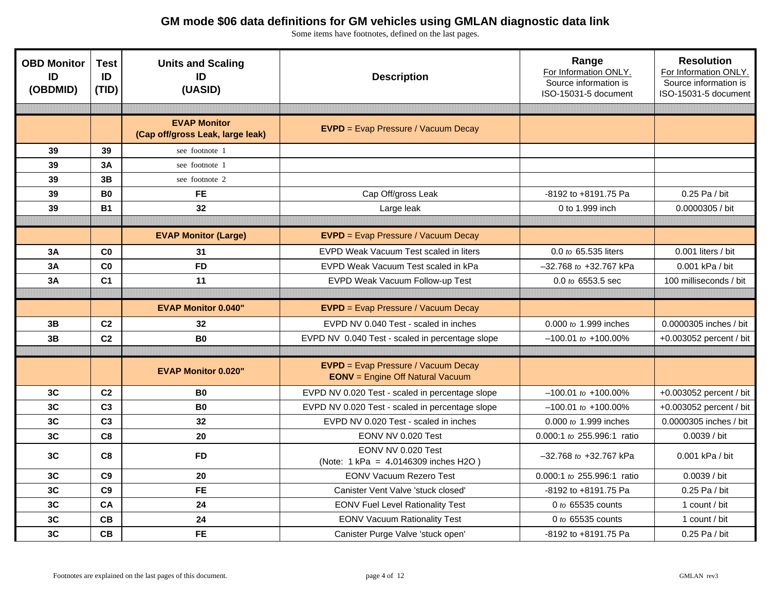| <b>OBD Monitor</b><br>ID<br>(OBDMID) | <b>Test</b><br>ID<br>(TID) | <b>Units and Scaling</b><br>ID<br>(UASID)               | <b>Description</b>                                                                    | Range<br>For Information ONLY.<br>Source information is<br>ISO-15031-5 document | <b>Resolution</b><br>For Information ONLY.<br>Source information is<br>ISO-15031-5 document |  |
|--------------------------------------|----------------------------|---------------------------------------------------------|---------------------------------------------------------------------------------------|---------------------------------------------------------------------------------|---------------------------------------------------------------------------------------------|--|
|                                      |                            |                                                         |                                                                                       |                                                                                 |                                                                                             |  |
|                                      |                            | <b>EVAP Monitor</b><br>(Cap off/gross Leak, large leak) | <b>EVPD</b> = Evap Pressure / Vacuum Decay                                            |                                                                                 |                                                                                             |  |
| 39                                   | 39                         | see footnote 1                                          |                                                                                       |                                                                                 |                                                                                             |  |
| 39                                   | 3A                         | see footnote 1                                          |                                                                                       |                                                                                 |                                                                                             |  |
| 39                                   | 3B                         | see footnote 2                                          |                                                                                       |                                                                                 |                                                                                             |  |
| 39                                   | <b>B0</b>                  | <b>FE</b>                                               | Cap Off/gross Leak                                                                    | -8192 to +8191.75 Pa                                                            | 0.25 Pa / bit                                                                               |  |
| 39                                   | <b>B1</b>                  | 32                                                      | Large leak                                                                            | 0 to 1.999 inch                                                                 | 0.0000305 / bit                                                                             |  |
|                                      |                            |                                                         |                                                                                       |                                                                                 |                                                                                             |  |
|                                      |                            | <b>EVAP Monitor (Large)</b>                             | <b>EVPD</b> = Evap Pressure / Vacuum Decay                                            |                                                                                 |                                                                                             |  |
| 3A                                   | C <sub>0</sub>             | 31                                                      | EVPD Weak Vacuum Test scaled in liters                                                | 0.0 to 65.535 liters                                                            | $0.001$ liters / bit                                                                        |  |
| 3A                                   | C <sub>0</sub>             | <b>FD</b>                                               | EVPD Weak Vacuum Test scaled in kPa                                                   | -32.768 to +32.767 kPa                                                          | 0.001 kPa / bit                                                                             |  |
| 3A                                   | C <sub>1</sub>             | 11                                                      | EVPD Weak Vacuum Follow-up Test                                                       | $0.0$ to 6553.5 sec                                                             | 100 milliseconds / bit                                                                      |  |
|                                      |                            |                                                         |                                                                                       |                                                                                 |                                                                                             |  |
|                                      |                            | <b>EVAP Monitor 0.040"</b>                              | <b>EVPD</b> = Evap Pressure / Vacuum Decay                                            |                                                                                 |                                                                                             |  |
| 3B                                   | C <sub>2</sub>             | 32                                                      | EVPD NV 0.040 Test - scaled in inches                                                 | 0.000 to 1.999 inches                                                           | 0.0000305 inches / bit                                                                      |  |
| 3B                                   | C <sub>2</sub>             | <b>B0</b>                                               | EVPD NV 0.040 Test - scaled in percentage slope                                       | $-100.01$ to $+100.00\%$                                                        | +0.003052 percent / bit                                                                     |  |
|                                      |                            |                                                         |                                                                                       |                                                                                 |                                                                                             |  |
|                                      |                            | <b>EVAP Monitor 0.020"</b>                              | <b>EVPD</b> = Evap Pressure / Vacuum Decay<br><b>EONV</b> = Engine Off Natural Vacuum |                                                                                 |                                                                                             |  |
| 3C                                   | C <sub>2</sub>             | B <sub>0</sub>                                          | EVPD NV 0.020 Test - scaled in percentage slope                                       | $-100.01$ to $+100.00\%$                                                        | +0.003052 percent / bit                                                                     |  |
| 3C                                   | C <sub>3</sub>             | <b>B0</b>                                               | EVPD NV 0.020 Test - scaled in percentage slope                                       | $-100.01$ to $+100.00\%$                                                        | +0.003052 percent / bit                                                                     |  |
| 3C                                   | C <sub>3</sub>             | 32                                                      | EVPD NV 0.020 Test - scaled in inches                                                 | 0.000 to 1.999 inches                                                           | 0.0000305 inches / bit                                                                      |  |
| 3C                                   | C <sub>8</sub>             | 20                                                      | EONV NV 0.020 Test                                                                    | 0.000:1 to 255.996:1 ratio                                                      | 0.0039 / bit                                                                                |  |
| 3C                                   | C <sub>8</sub>             | <b>FD</b>                                               | EONV NV 0.020 Test<br>(Note: 1 kPa = 4.0146309 inches H2O)                            | -32.768 to +32.767 kPa                                                          | 0.001 kPa / bit                                                                             |  |
| 3C                                   | C <sub>9</sub>             | 20                                                      | <b>EONV Vacuum Rezero Test</b>                                                        | 0.000:1 to 255.996:1 ratio                                                      | 0.0039 / bit                                                                                |  |
| 3C                                   | C <sub>9</sub>             | <b>FE</b>                                               | Canister Vent Valve 'stuck closed'                                                    | -8192 to +8191.75 Pa                                                            | 0.25 Pa / bit                                                                               |  |
| 3C                                   | CA                         | 24                                                      | <b>EONV Fuel Level Rationality Test</b>                                               | 0 to 65535 counts                                                               | 1 count / bit                                                                               |  |
| 3C                                   | CB                         | 24                                                      | <b>EONV Vacuum Rationality Test</b>                                                   | 0 to 65535 counts                                                               | 1 count / bit                                                                               |  |
| 3C                                   | CB                         | <b>FE</b>                                               | Canister Purge Valve 'stuck open'                                                     | -8192 to +8191.75 Pa                                                            | 0.25 Pa / bit                                                                               |  |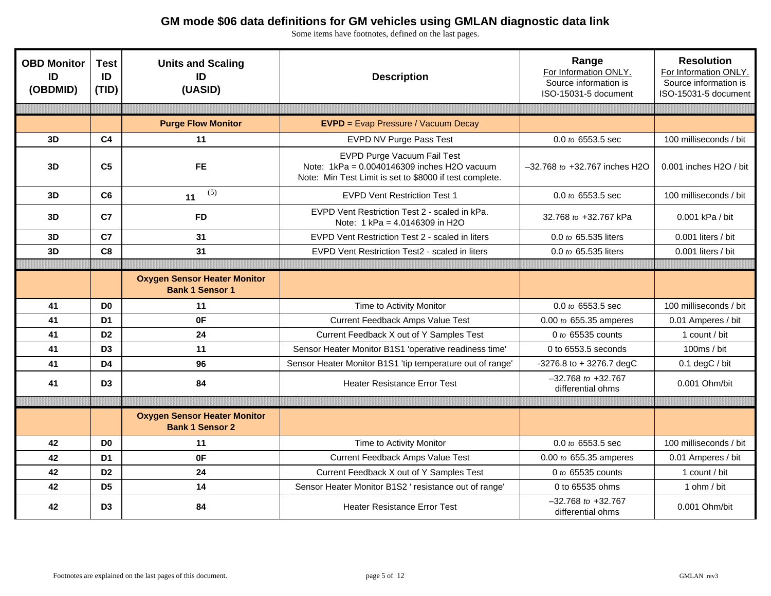| <b>OBD Monitor</b><br>ID<br>(OBDMID) | <b>Test</b><br>ID<br>(TID) | <b>Units and Scaling</b><br>ID<br>(UASID)                     | <b>Description</b>                                                                                                                    | Range<br>For Information ONLY.<br>Source information is<br>ISO-15031-5 document | <b>Resolution</b><br>For Information ONLY.<br>Source information is<br>ISO-15031-5 document |
|--------------------------------------|----------------------------|---------------------------------------------------------------|---------------------------------------------------------------------------------------------------------------------------------------|---------------------------------------------------------------------------------|---------------------------------------------------------------------------------------------|
|                                      |                            |                                                               |                                                                                                                                       |                                                                                 |                                                                                             |
|                                      |                            | <b>Purge Flow Monitor</b>                                     | <b>EVPD</b> = Evap Pressure / Vacuum Decay                                                                                            |                                                                                 |                                                                                             |
| 3D                                   | C <sub>4</sub>             | 11                                                            | EVPD NV Purge Pass Test                                                                                                               | 0.0 to 6553.5 sec                                                               | 100 milliseconds / bit                                                                      |
| 3D                                   | C <sub>5</sub>             | <b>FE</b>                                                     | EVPD Purge Vacuum Fail Test<br>Note: 1kPa = 0.0040146309 inches H2O vacuum<br>Note: Min Test Limit is set to \$8000 if test complete. | -32.768 to +32.767 inches H2O                                                   | $0.001$ inches H2O / bit                                                                    |
| 3D                                   | C6                         | (5)<br>11                                                     | <b>EVPD Vent Restriction Test 1</b>                                                                                                   | 0.0 to 6553.5 sec                                                               | 100 milliseconds / bit                                                                      |
| 3D                                   | C7                         | <b>FD</b>                                                     | EVPD Vent Restriction Test 2 - scaled in kPa.<br>Note: 1 kPa = 4.0146309 in H2O                                                       | 32.768 to +32.767 kPa                                                           | 0.001 kPa / bit                                                                             |
| 3D                                   | C <sub>7</sub>             | 31                                                            | EVPD Vent Restriction Test 2 - scaled in liters                                                                                       | 0.0 to 65.535 liters                                                            | 0.001 liters / bit                                                                          |
| 3D                                   | C <sub>8</sub>             | 31                                                            | EVPD Vent Restriction Test2 - scaled in liters                                                                                        | 0.0 to 65.535 liters                                                            | 0.001 liters / bit                                                                          |
|                                      |                            |                                                               |                                                                                                                                       |                                                                                 |                                                                                             |
|                                      |                            | <b>Oxygen Sensor Heater Monitor</b><br><b>Bank 1 Sensor 1</b> |                                                                                                                                       |                                                                                 |                                                                                             |
| 41                                   | D <sub>0</sub>             | 11                                                            | Time to Activity Monitor                                                                                                              | 0.0 to 6553.5 sec                                                               | 100 milliseconds / bit                                                                      |
| 41                                   | D <sub>1</sub>             | 0F                                                            | Current Feedback Amps Value Test                                                                                                      | 0.00 to 655.35 amperes                                                          | 0.01 Amperes / bit                                                                          |
| 41                                   | D <sub>2</sub>             | 24                                                            | Current Feedback X out of Y Samples Test                                                                                              | 0 to 65535 counts                                                               | 1 count / bit                                                                               |
| 41                                   | D <sub>3</sub>             | 11                                                            | Sensor Heater Monitor B1S1 'operative readiness time'                                                                                 | 0 to 6553.5 seconds                                                             | 100ms / bit                                                                                 |
| 41                                   | D <sub>4</sub>             | 96                                                            | Sensor Heater Monitor B1S1 'tip temperature out of range'                                                                             | -3276.8 to + 3276.7 degC                                                        | $0.1$ degC $/$ bit                                                                          |
| 41                                   | D <sub>3</sub>             | 84                                                            | <b>Heater Resistance Error Test</b>                                                                                                   | $-32.768$ to $+32.767$<br>differential ohms                                     | 0.001 Ohm/bit                                                                               |
|                                      |                            |                                                               |                                                                                                                                       |                                                                                 |                                                                                             |
|                                      |                            | <b>Oxygen Sensor Heater Monitor</b><br><b>Bank 1 Sensor 2</b> |                                                                                                                                       |                                                                                 |                                                                                             |
| 42                                   | D <sub>0</sub>             | 11                                                            | Time to Activity Monitor                                                                                                              | 0.0 to 6553.5 sec                                                               | 100 milliseconds / bit                                                                      |
| 42                                   | D <sub>1</sub>             | 0F                                                            | Current Feedback Amps Value Test                                                                                                      | 0.00 to 655.35 amperes                                                          | 0.01 Amperes / bit                                                                          |
| 42                                   | D <sub>2</sub>             | 24                                                            | Current Feedback X out of Y Samples Test                                                                                              | 0 to 65535 counts                                                               | 1 count / bit                                                                               |
| 42                                   | D <sub>5</sub>             | 14                                                            | Sensor Heater Monitor B1S2 ' resistance out of range'                                                                                 | 0 to 65535 ohms                                                                 | 1 ohm / bit                                                                                 |
| 42                                   | D <sub>3</sub>             | 84                                                            | <b>Heater Resistance Error Test</b>                                                                                                   | $-32.768$ to $+32.767$<br>differential ohms                                     | $0.001$ Ohm/bit                                                                             |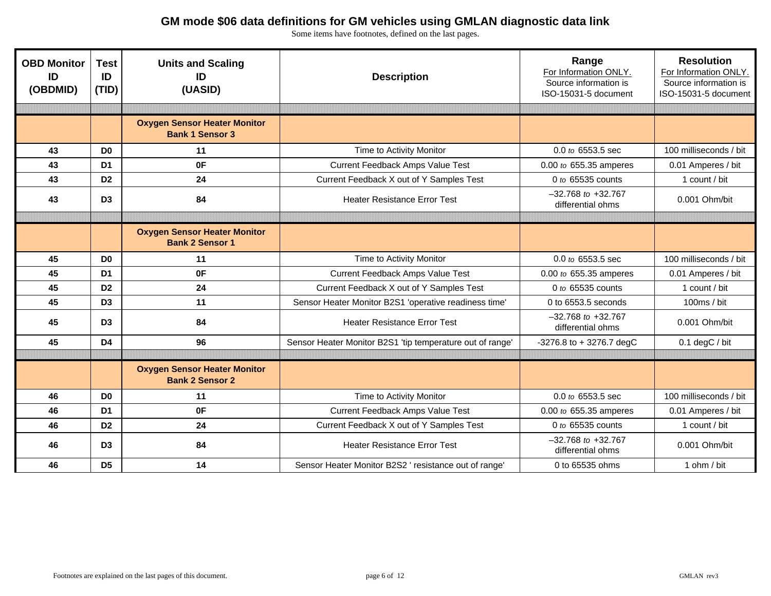| <b>OBD Monitor</b><br>ID<br>(OBDMID) | <b>Test</b><br>ID<br>(TID) | <b>Units and Scaling</b><br>ID<br>(UASID)                     | <b>Description</b>                                        | Range<br>For Information ONLY.<br>Source information is<br>ISO-15031-5 document | <b>Resolution</b><br>For Information ONLY.<br>Source information is<br>ISO-15031-5 document |
|--------------------------------------|----------------------------|---------------------------------------------------------------|-----------------------------------------------------------|---------------------------------------------------------------------------------|---------------------------------------------------------------------------------------------|
|                                      |                            |                                                               |                                                           |                                                                                 |                                                                                             |
|                                      |                            | <b>Oxygen Sensor Heater Monitor</b><br><b>Bank 1 Sensor 3</b> |                                                           |                                                                                 |                                                                                             |
| 43                                   | D <sub>0</sub>             | 11                                                            | Time to Activity Monitor                                  | 0.0 to 6553.5 sec                                                               | 100 milliseconds / bit                                                                      |
| 43                                   | D <sub>1</sub>             | 0F                                                            | Current Feedback Amps Value Test                          | 0.00 to 655.35 amperes                                                          | 0.01 Amperes / bit                                                                          |
| 43                                   | D <sub>2</sub>             | 24                                                            | Current Feedback X out of Y Samples Test                  | 0 to 65535 counts                                                               | 1 count / bit                                                                               |
| 43                                   | D <sub>3</sub>             | 84                                                            | <b>Heater Resistance Error Test</b>                       | $-32.768$ to $+32.767$<br>differential ohms                                     | 0.001 Ohm/bit                                                                               |
|                                      |                            |                                                               |                                                           |                                                                                 |                                                                                             |
|                                      |                            | <b>Oxygen Sensor Heater Monitor</b><br><b>Bank 2 Sensor 1</b> |                                                           |                                                                                 |                                                                                             |
| 45                                   | D <sub>0</sub>             | 11                                                            | Time to Activity Monitor                                  | $0.0$ to 6553.5 sec                                                             | 100 milliseconds / bit                                                                      |
| 45                                   | D <sub>1</sub>             | 0F                                                            | Current Feedback Amps Value Test                          | 0.00 to 655.35 amperes                                                          | 0.01 Amperes / bit                                                                          |
| 45                                   | D <sub>2</sub>             | 24                                                            | Current Feedback X out of Y Samples Test                  | 0 to 65535 counts                                                               | 1 count / bit                                                                               |
| 45                                   | D <sub>3</sub>             | 11                                                            | Sensor Heater Monitor B2S1 'operative readiness time'     | 0 to 6553.5 seconds                                                             | 100ms / bit                                                                                 |
| 45                                   | D <sub>3</sub>             | 84                                                            | <b>Heater Resistance Error Test</b>                       | $-32.768$ to $+32.767$<br>differential ohms                                     | 0.001 Ohm/bit                                                                               |
| 45                                   | D <sub>4</sub>             | 96                                                            | Sensor Heater Monitor B2S1 'tip temperature out of range' | $-3276.8$ to $+3276.7$ degC                                                     | $0.1$ degC $/$ bit                                                                          |
|                                      |                            |                                                               |                                                           |                                                                                 |                                                                                             |
|                                      |                            | <b>Oxygen Sensor Heater Monitor</b><br><b>Bank 2 Sensor 2</b> |                                                           |                                                                                 |                                                                                             |
| 46                                   | D <sub>0</sub>             | 11                                                            | Time to Activity Monitor                                  | $0.0$ to 6553.5 sec                                                             | 100 milliseconds / bit                                                                      |
| 46                                   | D <sub>1</sub>             | 0F                                                            | Current Feedback Amps Value Test                          | 0.00 to 655.35 amperes                                                          | 0.01 Amperes / bit                                                                          |
| 46                                   | D <sub>2</sub>             | 24                                                            | Current Feedback X out of Y Samples Test                  | 0 to 65535 counts                                                               | 1 count / bit                                                                               |
| 46                                   | D <sub>3</sub>             | 84                                                            | <b>Heater Resistance Error Test</b>                       | $-32.768$ to $+32.767$<br>differential ohms                                     | 0.001 Ohm/bit                                                                               |
| 46                                   | D <sub>5</sub>             | 14                                                            | Sensor Heater Monitor B2S2 ' resistance out of range'     | 0 to 65535 ohms                                                                 | 1 ohm / bit                                                                                 |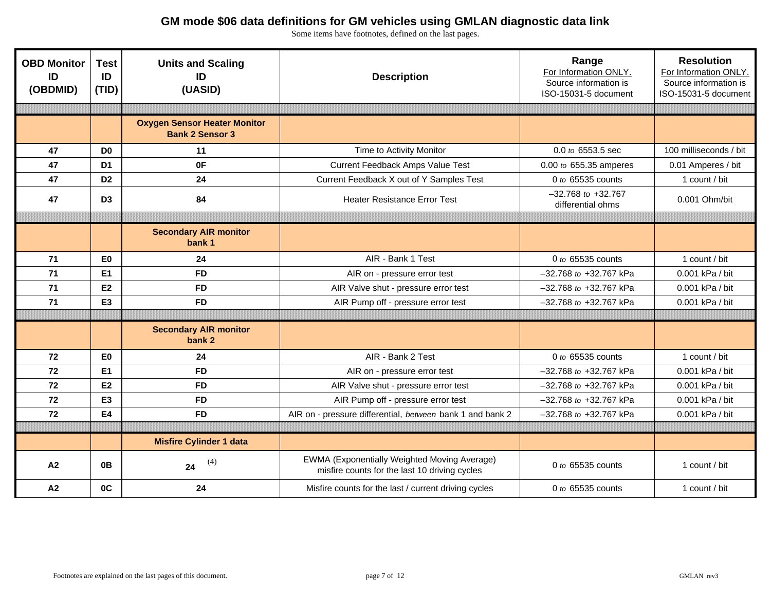| <b>OBD Monitor</b><br>ID<br>(OBDMID) | <b>Test</b><br>ID<br>(TID) | <b>Units and Scaling</b><br>ID<br>(UASID)                     | <b>Description</b>                                                                            | Range<br>For Information ONLY.<br>Source information is<br>ISO-15031-5 document | <b>Resolution</b><br>For Information ONLY.<br>Source information is<br>ISO-15031-5 document |
|--------------------------------------|----------------------------|---------------------------------------------------------------|-----------------------------------------------------------------------------------------------|---------------------------------------------------------------------------------|---------------------------------------------------------------------------------------------|
|                                      |                            |                                                               |                                                                                               |                                                                                 |                                                                                             |
|                                      |                            | <b>Oxygen Sensor Heater Monitor</b><br><b>Bank 2 Sensor 3</b> |                                                                                               |                                                                                 |                                                                                             |
| 47                                   | D <sub>0</sub>             | 11                                                            | Time to Activity Monitor                                                                      | 0.0 to 6553.5 sec                                                               | 100 milliseconds / bit                                                                      |
| 47                                   | D <sub>1</sub>             | 0F                                                            | <b>Current Feedback Amps Value Test</b>                                                       | $0.00$ to 655.35 amperes                                                        | 0.01 Amperes / bit                                                                          |
| 47                                   | D <sub>2</sub>             | 24                                                            | Current Feedback X out of Y Samples Test                                                      | 0 to 65535 counts                                                               | 1 count / bit                                                                               |
| 47                                   | D <sub>3</sub>             | 84                                                            | <b>Heater Resistance Error Test</b>                                                           | $-32.768$ to $+32.767$<br>differential ohms                                     | 0.001 Ohm/bit                                                                               |
|                                      |                            |                                                               |                                                                                               |                                                                                 |                                                                                             |
|                                      |                            | <b>Secondary AIR monitor</b><br>bank 1                        |                                                                                               |                                                                                 |                                                                                             |
| 71                                   | E <sub>0</sub>             | 24                                                            | AIR - Bank 1 Test                                                                             | 0 to 65535 counts                                                               | 1 count / bit                                                                               |
| 71                                   | E1                         | <b>FD</b>                                                     | AIR on - pressure error test                                                                  | -32.768 to +32.767 kPa                                                          | 0.001 kPa / bit                                                                             |
| 71                                   | E2                         | <b>FD</b>                                                     | AIR Valve shut - pressure error test                                                          | $-32.768$ to $+32.767$ kPa                                                      | 0.001 kPa / bit                                                                             |
| $71$                                 | E <sub>3</sub>             | <b>FD</b>                                                     | AIR Pump off - pressure error test                                                            | -32.768 to +32.767 kPa                                                          | 0.001 kPa / bit                                                                             |
|                                      |                            |                                                               |                                                                                               |                                                                                 |                                                                                             |
|                                      |                            | <b>Secondary AIR monitor</b><br>bank 2                        |                                                                                               |                                                                                 |                                                                                             |
| 72                                   | E <sub>0</sub>             | 24                                                            | AIR - Bank 2 Test                                                                             | 0 to 65535 counts                                                               | 1 count / bit                                                                               |
| 72                                   | E1                         | <b>FD</b>                                                     | AIR on - pressure error test                                                                  | -32.768 to +32.767 kPa                                                          | 0.001 kPa / bit                                                                             |
| 72                                   | E2                         | <b>FD</b>                                                     | AIR Valve shut - pressure error test                                                          | -32.768 to +32.767 kPa                                                          | 0.001 kPa / bit                                                                             |
| 72                                   | E <sub>3</sub>             | <b>FD</b>                                                     | AIR Pump off - pressure error test                                                            | -32.768 to +32.767 kPa                                                          | 0.001 kPa / bit                                                                             |
| 72                                   | E4                         | <b>FD</b>                                                     | AIR on - pressure differential, between bank 1 and bank 2                                     | $-32.768$ to $+32.767$ kPa                                                      | 0.001 kPa / bit                                                                             |
|                                      |                            |                                                               |                                                                                               |                                                                                 |                                                                                             |
|                                      |                            | <b>Misfire Cylinder 1 data</b>                                |                                                                                               |                                                                                 |                                                                                             |
| A2                                   | 0 <sub>B</sub>             | (4)<br>24                                                     | EWMA (Exponentially Weighted Moving Average)<br>misfire counts for the last 10 driving cycles | 0 to 65535 counts                                                               | 1 count / bit                                                                               |
| A <sub>2</sub>                       | 0C                         | 24                                                            | Misfire counts for the last / current driving cycles                                          | 0 to 65535 counts                                                               | 1 count / bit                                                                               |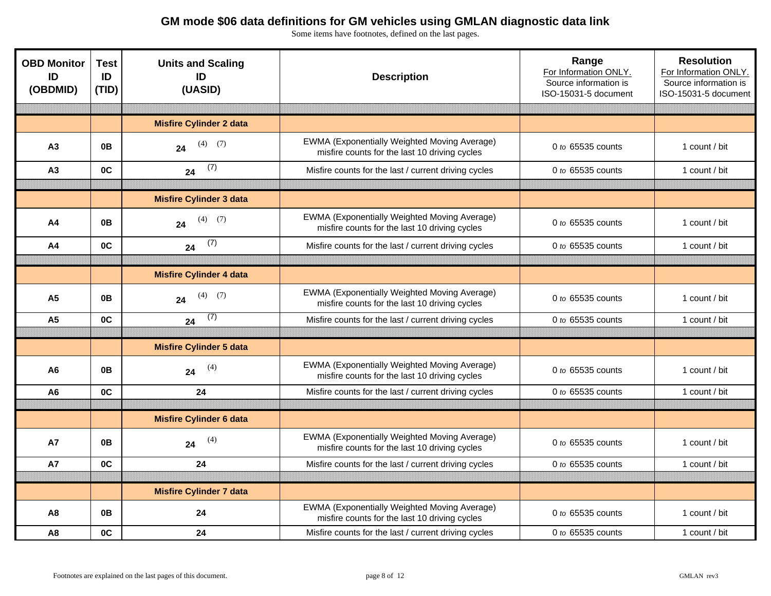| <b>OBD Monitor</b><br>ID<br>(OBDMID) | <b>Test</b><br>ID<br>(TID) | <b>Units and Scaling</b><br>ID<br>(UASID) | <b>Description</b>                                                                            | Range<br>For Information ONLY.<br>Source information is<br>ISO-15031-5 document | <b>Resolution</b><br>For Information ONLY.<br>Source information is<br>ISO-15031-5 document |
|--------------------------------------|----------------------------|-------------------------------------------|-----------------------------------------------------------------------------------------------|---------------------------------------------------------------------------------|---------------------------------------------------------------------------------------------|
|                                      |                            |                                           |                                                                                               |                                                                                 |                                                                                             |
|                                      |                            | <b>Misfire Cylinder 2 data</b>            |                                                                                               |                                                                                 |                                                                                             |
| A <sub>3</sub>                       | 0B                         | $(4)$ $(7)$<br>24                         | EWMA (Exponentially Weighted Moving Average)<br>misfire counts for the last 10 driving cycles | 0 to 65535 counts                                                               | 1 count / bit                                                                               |
| A <sub>3</sub>                       | 0C                         | (7)<br>24                                 | Misfire counts for the last / current driving cycles                                          | 0 to 65535 counts                                                               | 1 count / bit                                                                               |
|                                      |                            |                                           |                                                                                               |                                                                                 |                                                                                             |
|                                      |                            | <b>Misfire Cylinder 3 data</b>            |                                                                                               |                                                                                 |                                                                                             |
| A4                                   | 0B                         | $(4)$ (7)<br>24                           | EWMA (Exponentially Weighted Moving Average)<br>misfire counts for the last 10 driving cycles | 0 to 65535 counts                                                               | 1 count / bit                                                                               |
| A <sub>4</sub>                       | 0C                         | (7)<br>24                                 | Misfire counts for the last / current driving cycles                                          | 0 to 65535 counts                                                               | 1 count / bit                                                                               |
|                                      |                            |                                           |                                                                                               |                                                                                 |                                                                                             |
|                                      |                            | <b>Misfire Cylinder 4 data</b>            |                                                                                               |                                                                                 |                                                                                             |
| A <sub>5</sub>                       | 0B                         | $(4)$ (7)<br>24                           | EWMA (Exponentially Weighted Moving Average)<br>misfire counts for the last 10 driving cycles | 0 to 65535 counts                                                               | 1 count / bit                                                                               |
| A <sub>5</sub>                       | 0C                         | (7)<br>24                                 | Misfire counts for the last / current driving cycles                                          | 0 to 65535 counts                                                               | 1 count / bit                                                                               |
|                                      |                            |                                           |                                                                                               |                                                                                 |                                                                                             |
|                                      |                            | <b>Misfire Cylinder 5 data</b>            |                                                                                               |                                                                                 |                                                                                             |
| A <sub>6</sub>                       | 0B                         | (4)<br>24                                 | EWMA (Exponentially Weighted Moving Average)<br>misfire counts for the last 10 driving cycles | 0 to 65535 counts                                                               | 1 count / bit                                                                               |
| A <sub>6</sub>                       | 0C                         | 24                                        | Misfire counts for the last / current driving cycles                                          | 0 to 65535 counts                                                               | 1 count / bit                                                                               |
|                                      |                            |                                           |                                                                                               |                                                                                 |                                                                                             |
|                                      |                            | <b>Misfire Cylinder 6 data</b>            |                                                                                               |                                                                                 |                                                                                             |
| <b>A7</b>                            | 0 <sub>B</sub>             | (4)<br>24                                 | EWMA (Exponentially Weighted Moving Average)<br>misfire counts for the last 10 driving cycles | 0 to 65535 counts                                                               | 1 count / bit                                                                               |
| <b>A7</b>                            | 0C                         | 24                                        | Misfire counts for the last / current driving cycles                                          | 0 to 65535 counts                                                               | 1 count / bit                                                                               |
|                                      |                            |                                           |                                                                                               |                                                                                 |                                                                                             |
|                                      |                            | <b>Misfire Cylinder 7 data</b>            |                                                                                               |                                                                                 |                                                                                             |
| A <sub>8</sub>                       | 0B                         | 24                                        | EWMA (Exponentially Weighted Moving Average)<br>misfire counts for the last 10 driving cycles | 0 to 65535 counts                                                               | 1 count / bit                                                                               |
| A8                                   | OC                         | 24                                        | Misfire counts for the last / current driving cycles                                          | 0 to 65535 counts                                                               | 1 count / bit                                                                               |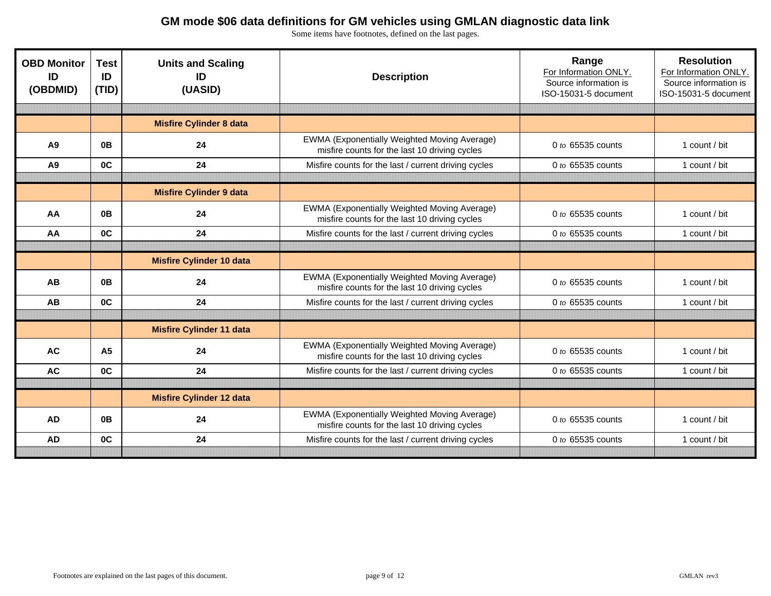| <b>OBD Monitor</b><br>ID<br>(OBDMID) | <b>Test</b><br>ID<br>(TID) | <b>Units and Scaling</b><br>ID<br>(UASID) | <b>Description</b>                                                                            | Range<br>For Information ONLY.<br>Source information is<br>ISO-15031-5 document | <b>Resolution</b><br>For Information ONLY.<br>Source information is<br>ISO-15031-5 document |
|--------------------------------------|----------------------------|-------------------------------------------|-----------------------------------------------------------------------------------------------|---------------------------------------------------------------------------------|---------------------------------------------------------------------------------------------|
|                                      |                            | <b>Misfire Cylinder 8 data</b>            |                                                                                               |                                                                                 |                                                                                             |
| A <sub>9</sub>                       | 0 <sub>B</sub>             | 24                                        | EWMA (Exponentially Weighted Moving Average)<br>misfire counts for the last 10 driving cycles | 0 to 65535 counts                                                               | 1 count / bit                                                                               |
| A9                                   | OC                         | 24                                        | Misfire counts for the last / current driving cycles                                          | 0 to 65535 counts                                                               | 1 count / bit                                                                               |
|                                      |                            |                                           |                                                                                               |                                                                                 |                                                                                             |
|                                      |                            | <b>Misfire Cylinder 9 data</b>            |                                                                                               |                                                                                 |                                                                                             |
| AA                                   | 0 <sub>B</sub>             | 24                                        | EWMA (Exponentially Weighted Moving Average)<br>misfire counts for the last 10 driving cycles | 0 to 65535 counts                                                               | 1 count / bit                                                                               |
| AA                                   | 0 <sup>C</sup>             | 24                                        | Misfire counts for the last / current driving cycles                                          | 0 to 65535 counts                                                               | 1 count / bit                                                                               |
|                                      |                            |                                           |                                                                                               |                                                                                 |                                                                                             |
|                                      |                            | <b>Misfire Cylinder 10 data</b>           |                                                                                               |                                                                                 |                                                                                             |
| AB                                   | 0 <sub>B</sub>             | 24                                        | EWMA (Exponentially Weighted Moving Average)<br>misfire counts for the last 10 driving cycles | 0 to 65535 counts                                                               | 1 count / bit                                                                               |
| AB                                   | OC                         | 24                                        | Misfire counts for the last / current driving cycles                                          | 0 to 65535 counts                                                               | 1 count / bit                                                                               |
|                                      |                            |                                           |                                                                                               |                                                                                 |                                                                                             |
|                                      |                            | <b>Misfire Cylinder 11 data</b>           |                                                                                               |                                                                                 |                                                                                             |
| <b>AC</b>                            | A <sub>5</sub>             | 24                                        | EWMA (Exponentially Weighted Moving Average)<br>misfire counts for the last 10 driving cycles | 0 to 65535 counts                                                               | 1 count / bit                                                                               |
| <b>AC</b>                            | 0C                         | 24                                        | Misfire counts for the last / current driving cycles                                          | $0$ to 65535 counts                                                             | 1 count / bit                                                                               |
|                                      |                            |                                           |                                                                                               |                                                                                 |                                                                                             |
|                                      |                            | <b>Misfire Cylinder 12 data</b>           |                                                                                               |                                                                                 |                                                                                             |
| <b>AD</b>                            | 0 <sub>B</sub>             | 24                                        | EWMA (Exponentially Weighted Moving Average)<br>misfire counts for the last 10 driving cycles | 0 to 65535 counts                                                               | 1 count / bit                                                                               |
| <b>AD</b>                            | 0C                         | 24                                        | Misfire counts for the last / current driving cycles                                          | 0 to 65535 counts                                                               | 1 count / bit                                                                               |
|                                      |                            |                                           |                                                                                               |                                                                                 |                                                                                             |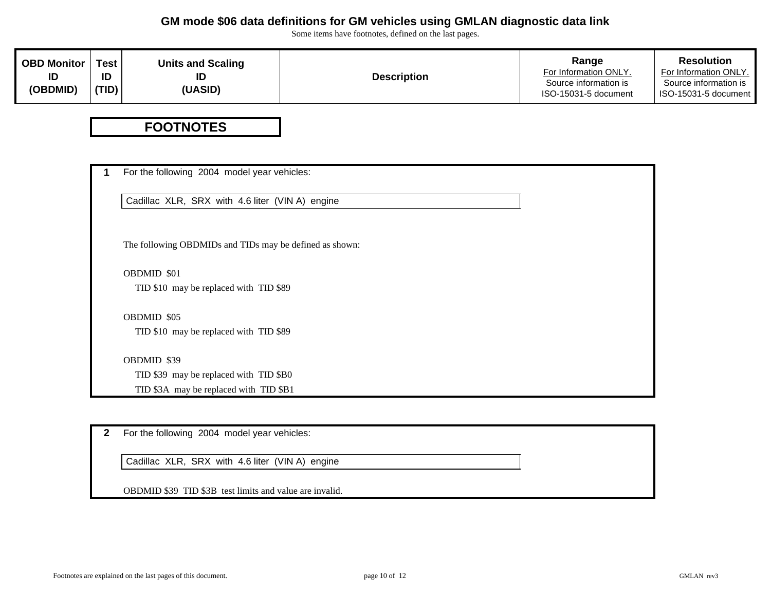Some items have footnotes, defined on the last pages.

| OBD Monitor | <b>Test</b> | <b>Units and Scaling</b> |                    | Range                                          | <b>Resolution</b>                             |
|-------------|-------------|--------------------------|--------------------|------------------------------------------------|-----------------------------------------------|
|             | ID          | ΙD                       | <b>Description</b> | For Information ONLY.<br>Source information is | For Information ONLY.                         |
| (OBDMID)    | (TID)       | <b>(UASID)</b>           |                    | ISO-15031-5 document                           | Source information is<br>ISO-15031-5 document |

## **FOOTNOTES**

| Cadillac XLR, SRX with 4.6 liter (VIN A) engine         |  |
|---------------------------------------------------------|--|
|                                                         |  |
|                                                         |  |
| The following OBDMIDs and TIDs may be defined as shown: |  |
| OBDMID \$01                                             |  |
| TID \$10 may be replaced with TID \$89                  |  |
| OBDMID \$05                                             |  |
| TID \$10 may be replaced with TID \$89                  |  |
| OBDMID \$39                                             |  |
| TID \$39 may be replaced with TID \$B0                  |  |
| TID \$3A may be replaced with TID \$B1                  |  |

**2**For the following 2004 model year vehicles:

Cadillac XLR, SRX with 4.6 liter (VIN A) engine

OBDMID \$39 TID \$3B test limits and value are invalid.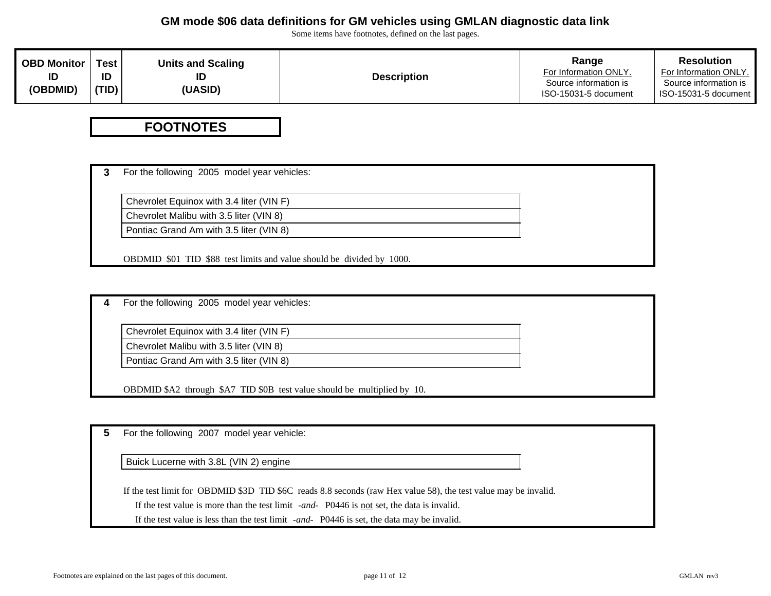Some items have footnotes, defined on the last pages.

| <b>OBD Monitor</b> | <b>Test</b> | <b>Units and Scaling</b> | <b>Description</b> | Range                                         | <b>Resolution</b>                             |
|--------------------|-------------|--------------------------|--------------------|-----------------------------------------------|-----------------------------------------------|
| ID                 | ID          | ID                       |                    | For Information ONLY                          | For Information ONLY.                         |
| (OBDMID)           | (TID)       | (UASID)                  |                    | Source information is<br>ISO-15031-5 document | Source information is<br>ISO-15031-5 document |

#### **FOOTNOTES**

**3**For the following 2005 model year vehicles:

Chevrolet Equinox with 3.4 liter (VIN F)

Chevrolet Malibu with 3.5 liter (VIN 8)

Pontiac Grand Am with 3.5 liter (VIN 8)

OBDMID \$01 TID \$88 test limits and value should be divided by 1000.

**4**For the following 2005 model year vehicles:

Chevrolet Equinox with 3.4 liter (VIN F)

Chevrolet Malibu with 3.5 liter (VIN 8)

Pontiac Grand Am with 3.5 liter (VIN 8)

OBDMID \$A2 through \$A7 TID \$0B test value should be multiplied by 10.

**5**For the following 2007 model year vehicle:

Buick Lucerne with 3.8L (VIN 2) engine

If the test limit for OBDMID \$3D TID \$6C reads 8.8 seconds (raw Hex value 58), the test value may be invalid.

If the test value is more than the test limit *-and-* P0446 is not set, the data is invalid.

If the test value is less than the test limit *-and-* P0446 is set, the data may be invalid.